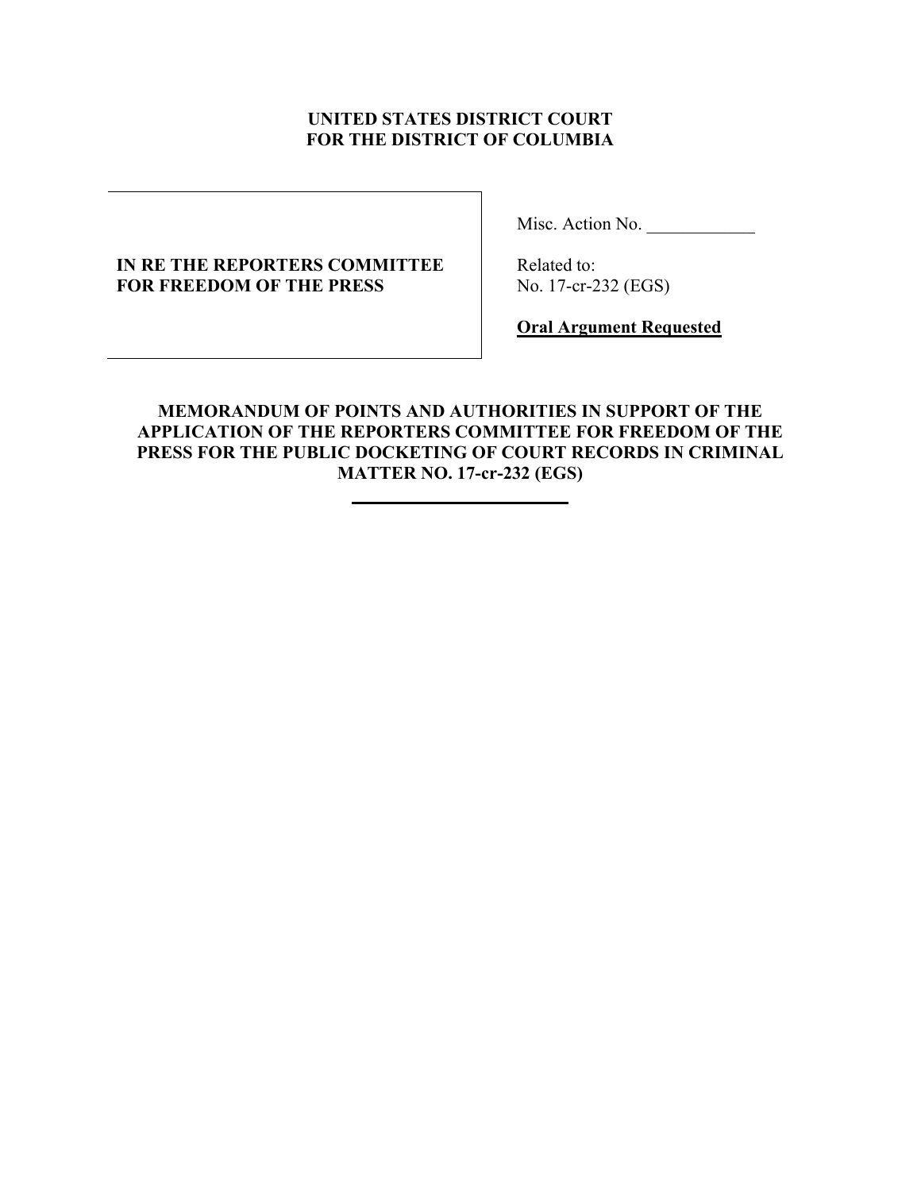## **UNITED STATES DISTRICT COURT FOR THE DISTRICT OF COLUMBIA**

## **IN RE THE REPORTERS COMMITTEE FOR FREEDOM OF THE PRESS**

Misc. Action No.

 Related to: No. 17-cr-232 (EGS)

**Oral Argument Requested**

## **MEMORANDUM OF POINTS AND AUTHORITIES IN SUPPORT OF THE APPLICATION OF THE REPORTERS COMMITTEE FOR FREEDOM OF THE PRESS FOR THE PUBLIC DOCKETING OF COURT RECORDS IN CRIMINAL MATTER NO. 17-cr-232 (EGS)**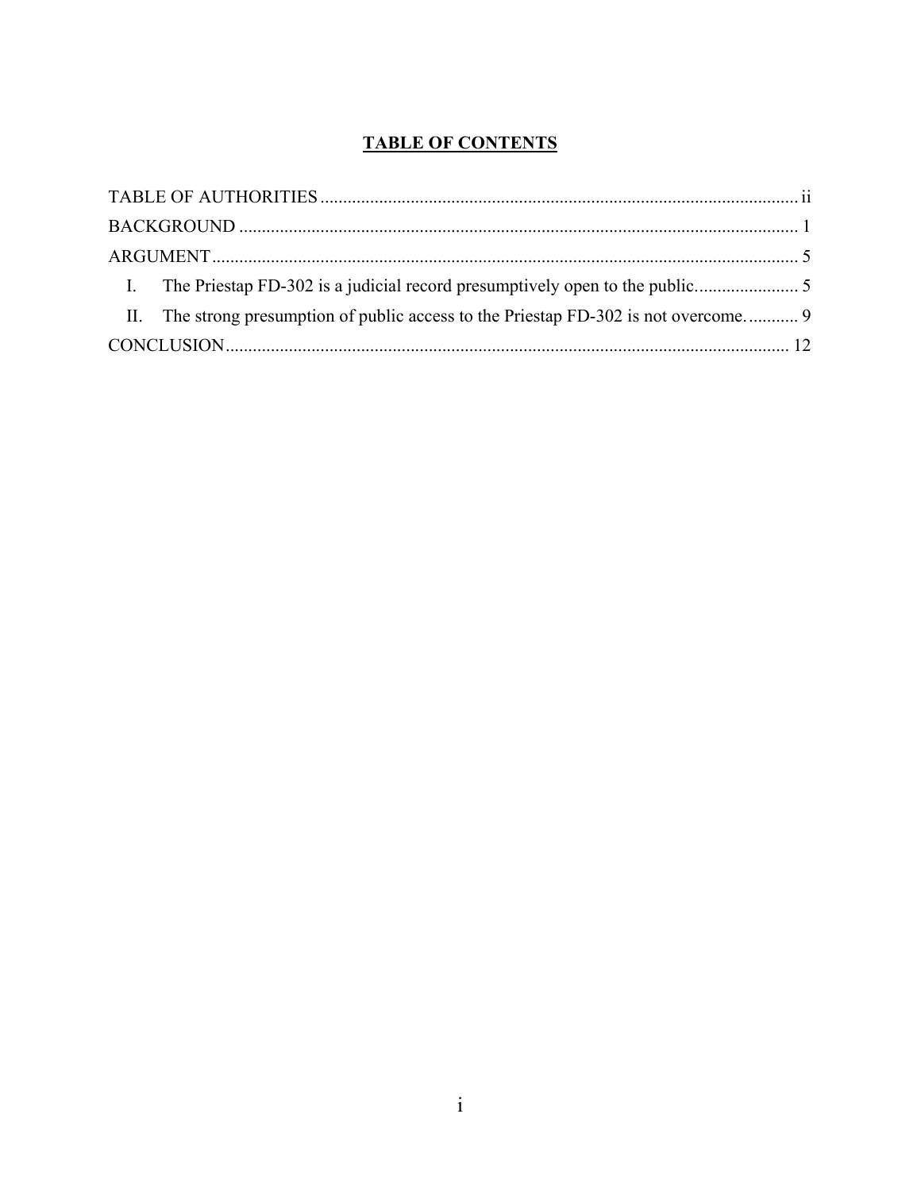# **TABLE OF CONTENTS**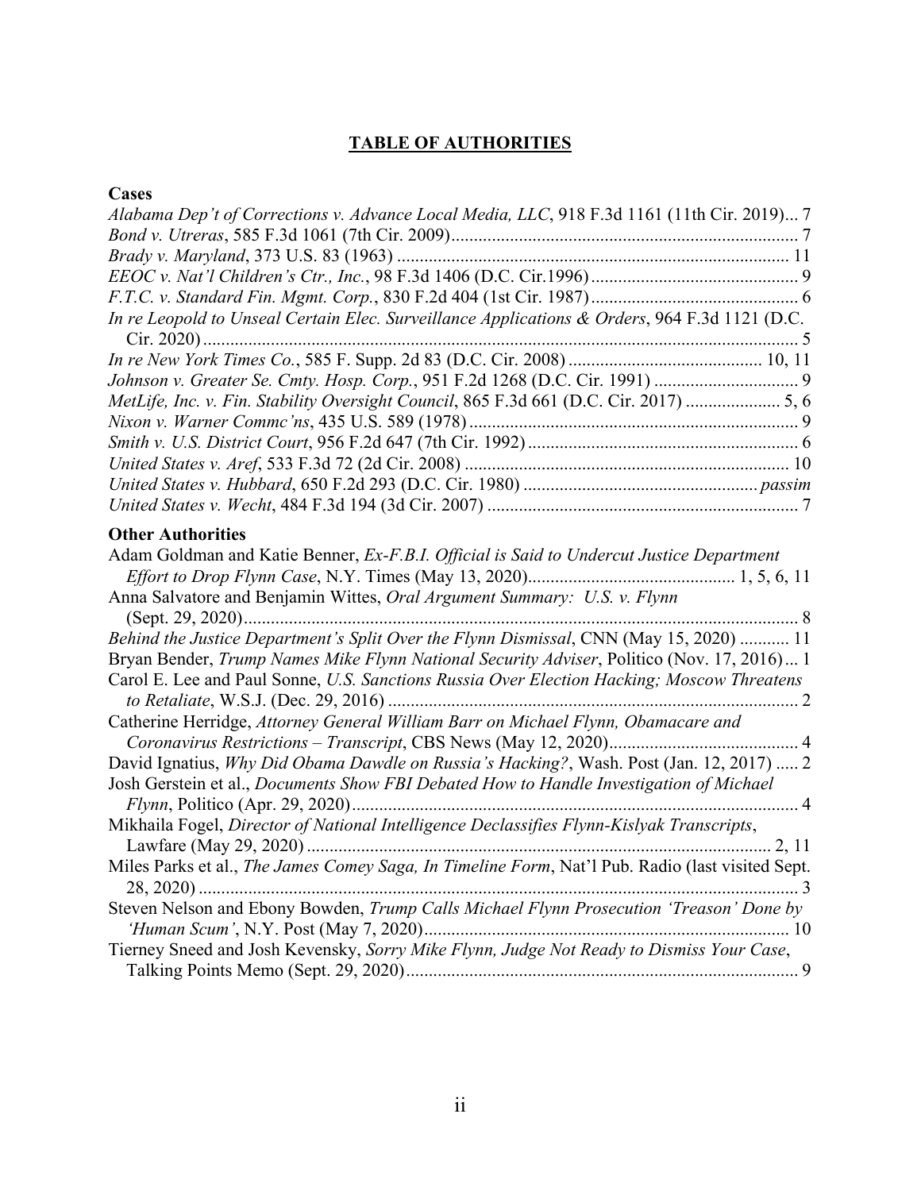# **TABLE OF AUTHORITIES**

# <span id="page-2-0"></span>**Cases**

| Alabama Dep't of Corrections v. Advance Local Media, LLC, 918 F.3d 1161 (11th Cir. 2019) 7       |
|--------------------------------------------------------------------------------------------------|
|                                                                                                  |
|                                                                                                  |
|                                                                                                  |
|                                                                                                  |
| In re Leopold to Unseal Certain Elec. Surveillance Applications & Orders, 964 F.3d 1121 (D.C.    |
|                                                                                                  |
|                                                                                                  |
| MetLife, Inc. v. Fin. Stability Oversight Council, 865 F.3d 661 (D.C. Cir. 2017)  5, 6           |
|                                                                                                  |
|                                                                                                  |
|                                                                                                  |
|                                                                                                  |
|                                                                                                  |
| <b>Other Authorities</b>                                                                         |
| Adam Goldman and Katie Benner, Ex-F.B.I. Official is Said to Undercut Justice Department         |
| Anna Salvatore and Benjamin Wittes, Oral Argument Summary: U.S. v. Flynn                         |
| Behind the Justice Department's Split Over the Flynn Dismissal, CNN (May 15, 2020)  11           |
| Bryan Bender, Trump Names Mike Flynn National Security Adviser, Politico (Nov. 17, 2016) 1       |
| Carol E. Lee and Paul Sonne, U.S. Sanctions Russia Over Election Hacking; Moscow Threatens       |
| Catherine Herridge, Attorney General William Barr on Michael Flynn, Obamacare and                |
| David Ignatius, Why Did Obama Dawdle on Russia's Hacking?, Wash. Post (Jan. 12, 2017)  2         |
| Josh Gerstein et al., Documents Show FBI Debated How to Handle Investigation of Michael          |
| Mikhaila Fogel, Director of National Intelligence Declassifies Flynn-Kislyak Transcripts,        |
| Miles Parks et al., The James Comey Saga, In Timeline Form, Nat'l Pub. Radio (last visited Sept. |
| Steven Nelson and Ebony Bowden, Trump Calls Michael Flynn Prosecution 'Treason' Done by          |
| Tierney Sneed and Josh Kevensky, Sorry Mike Flynn, Judge Not Ready to Dismiss Your Case,         |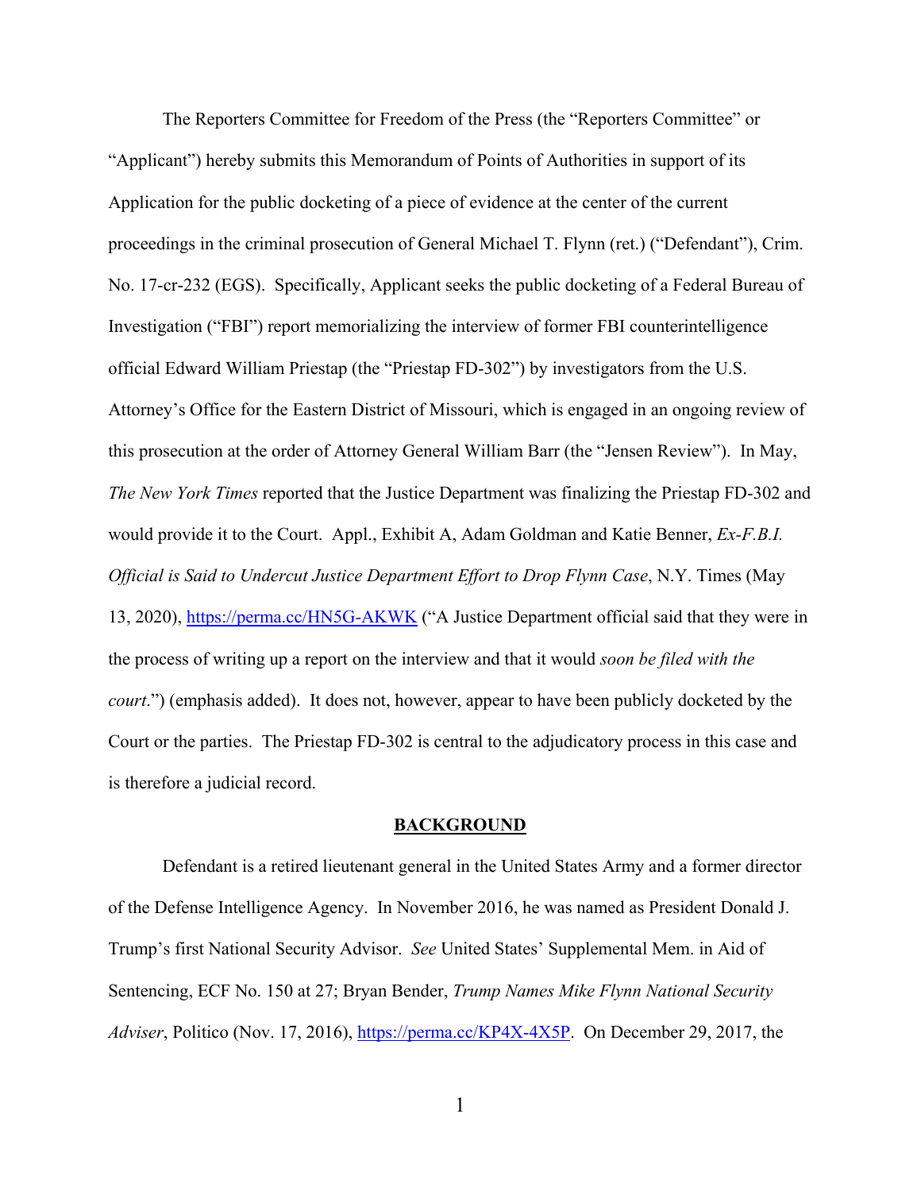The Reporters Committee for Freedom of the Press (the "Reporters Committee" or "Applicant") hereby submits this Memorandum of Points of Authorities in support of its Application for the public docketing of a piece of evidence at the center of the current proceedings in the criminal prosecution of General Michael T. Flynn (ret.) ("Defendant"), Crim. No. 17-cr-232 (EGS). Specifically, Applicant seeks the public docketing of a Federal Bureau of Investigation ("FBI") report memorializing the interview of former FBI counterintelligence official Edward William Priestap (the "Priestap FD-302") by investigators from the U.S. Attorney's Office for the Eastern District of Missouri, which is engaged in an ongoing review of this prosecution at the order of Attorney General William Barr (the "Jensen Review"). In May, *The New York Times* reported that the Justice Department was finalizing the Priestap FD-302 and would provide it to the Court. Appl., Exhibit A, Adam Goldman and Katie Benner, *Ex-F.B.I. Official is Said to Undercut Justice Department Effort to Drop Flynn Case*, N.Y. Times (May 13, 2020),<https://perma.cc/HN5G-AKWK> ("A Justice Department official said that they were in the process of writing up a report on the interview and that it would *soon be filed with the court*.") (emphasis added). It does not, however, appear to have been publicly docketed by the Court or the parties. The Priestap FD-302 is central to the adjudicatory process in this case and is therefore a judicial record.

### **BACKGROUND**

<span id="page-3-0"></span>Defendant is a retired lieutenant general in the United States Army and a former director of the Defense Intelligence Agency. In November 2016, he was named as President Donald J. Trump's first National Security Advisor. *See* United States' Supplemental Mem. in Aid of Sentencing, ECF No. 150 at 27; Bryan Bender, *Trump Names Mike Flynn National Security Adviser*, Politico (Nov. 17, 2016), [https://perma.cc/KP4X-4X5P.](https://perma.cc/KP4X-4X5P) On December 29, 2017, the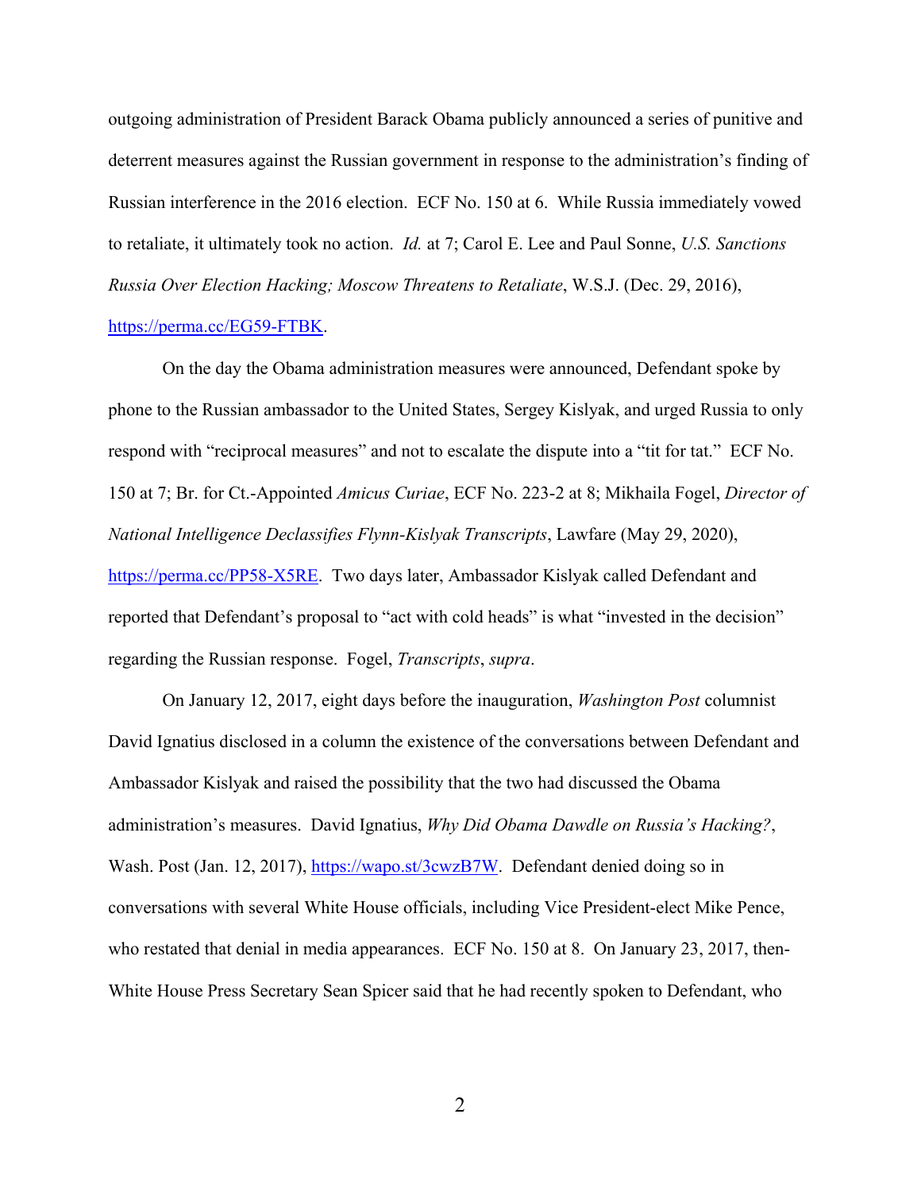outgoing administration of President Barack Obama publicly announced a series of punitive and deterrent measures against the Russian government in response to the administration's finding of Russian interference in the 2016 election. ECF No. 150 at 6. While Russia immediately vowed to retaliate, it ultimately took no action. *Id.* at 7; Carol E. Lee and Paul Sonne, *U.S. Sanctions Russia Over Election Hacking; Moscow Threatens to Retaliate*, W.S.J. (Dec. 29, 2016),

### [https://perma.cc/EG59-FTBK.](https://perma.cc/EG59-FTBK)

On the day the Obama administration measures were announced, Defendant spoke by phone to the Russian ambassador to the United States, Sergey Kislyak, and urged Russia to only respond with "reciprocal measures" and not to escalate the dispute into a "tit for tat." ECF No. 150 at 7; Br. for Ct.-Appointed *Amicus Curiae*, ECF No. 223-2 at 8; Mikhaila Fogel, *Director of National Intelligence Declassifies Flynn-Kislyak Transcripts*, Lawfare (May 29, 2020), [https://perma.cc/PP58-X5RE.](https://perma.cc/PP58-X5RE) Two days later, Ambassador Kislyak called Defendant and reported that Defendant's proposal to "act with cold heads" is what "invested in the decision" regarding the Russian response. Fogel, *Transcripts*, *supra*.

On January 12, 2017, eight days before the inauguration, *Washington Post* columnist David Ignatius disclosed in a column the existence of the conversations between Defendant and Ambassador Kislyak and raised the possibility that the two had discussed the Obama administration's measures. David Ignatius, *Why Did Obama Dawdle on Russia's Hacking?*, Wash. Post (Jan. 12, 2017), [https://wapo.st/3cwzB7W.](https://wapo.st/3cwzB7W) Defendant denied doing so in conversations with several White House officials, including Vice President-elect Mike Pence, who restated that denial in media appearances. ECF No. 150 at 8. On January 23, 2017, then-White House Press Secretary Sean Spicer said that he had recently spoken to Defendant, who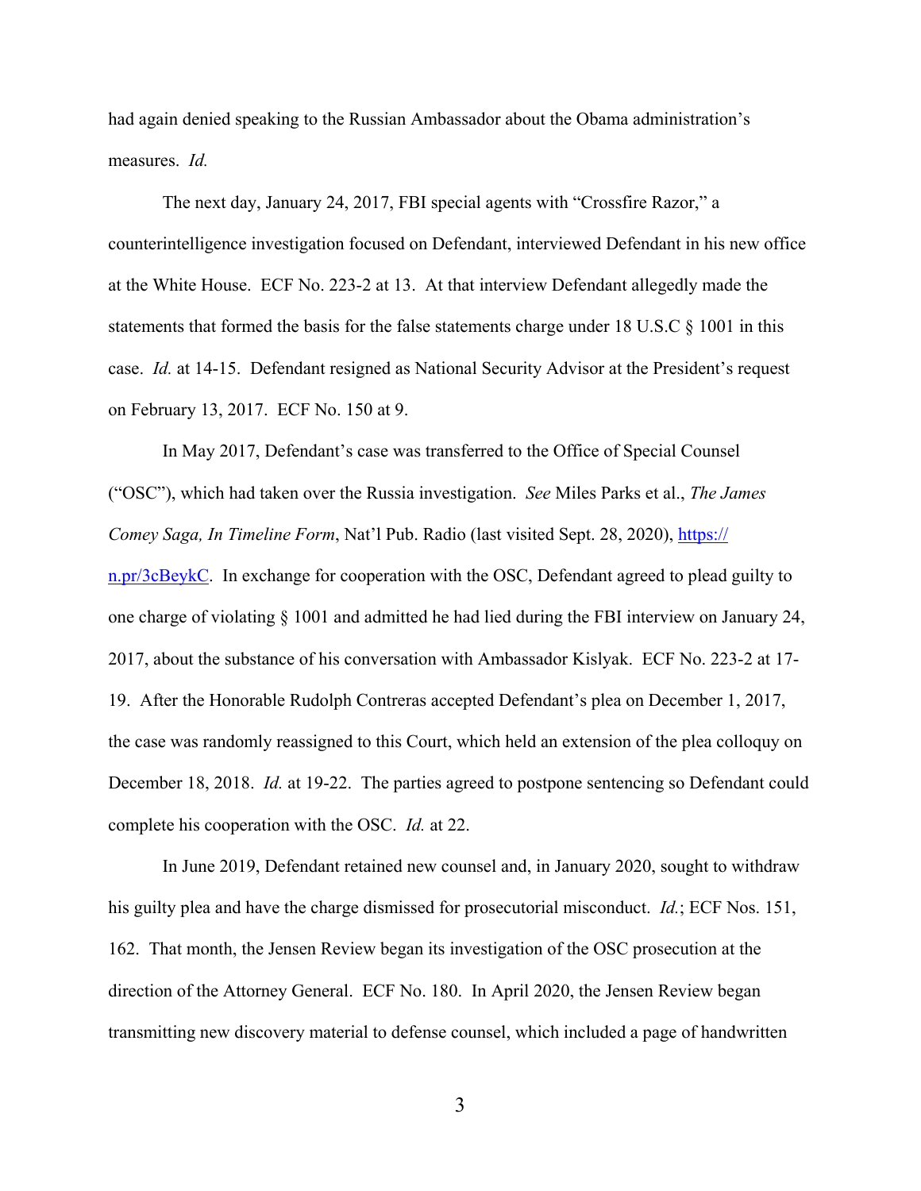had again denied speaking to the Russian Ambassador about the Obama administration's measures. *Id.*

The next day, January 24, 2017, FBI special agents with "Crossfire Razor," a counterintelligence investigation focused on Defendant, interviewed Defendant in his new office at the White House. ECF No. 223-2 at 13. At that interview Defendant allegedly made the statements that formed the basis for the false statements charge under 18 U.S.C § 1001 in this case. *Id.* at 14-15. Defendant resigned as National Security Advisor at the President's request on February 13, 2017. ECF No. 150 at 9.

In May 2017, Defendant's case was transferred to the Office of Special Counsel ("OSC"), which had taken over the Russia investigation. *See* Miles Parks et al., *The James Comey Saga, In Timeline Form, Nat'l Pub. Radio (last visited Sept. 28, 2020), [https://](https://n.pr/3cBeykC)* [n.pr/3cBeykC.](https://n.pr/3cBeykC) In exchange for cooperation with the OSC, Defendant agreed to plead guilty to one charge of violating § 1001 and admitted he had lied during the FBI interview on January 24, 2017, about the substance of his conversation with Ambassador Kislyak. ECF No. 223-2 at 17- 19. After the Honorable Rudolph Contreras accepted Defendant's plea on December 1, 2017, the case was randomly reassigned to this Court, which held an extension of the plea colloquy on December 18, 2018. *Id.* at 19-22. The parties agreed to postpone sentencing so Defendant could complete his cooperation with the OSC. *Id.* at 22.

In June 2019, Defendant retained new counsel and, in January 2020, sought to withdraw his guilty plea and have the charge dismissed for prosecutorial misconduct. *Id.*; ECF Nos. 151, 162. That month, the Jensen Review began its investigation of the OSC prosecution at the direction of the Attorney General. ECF No. 180. In April 2020, the Jensen Review began transmitting new discovery material to defense counsel, which included a page of handwritten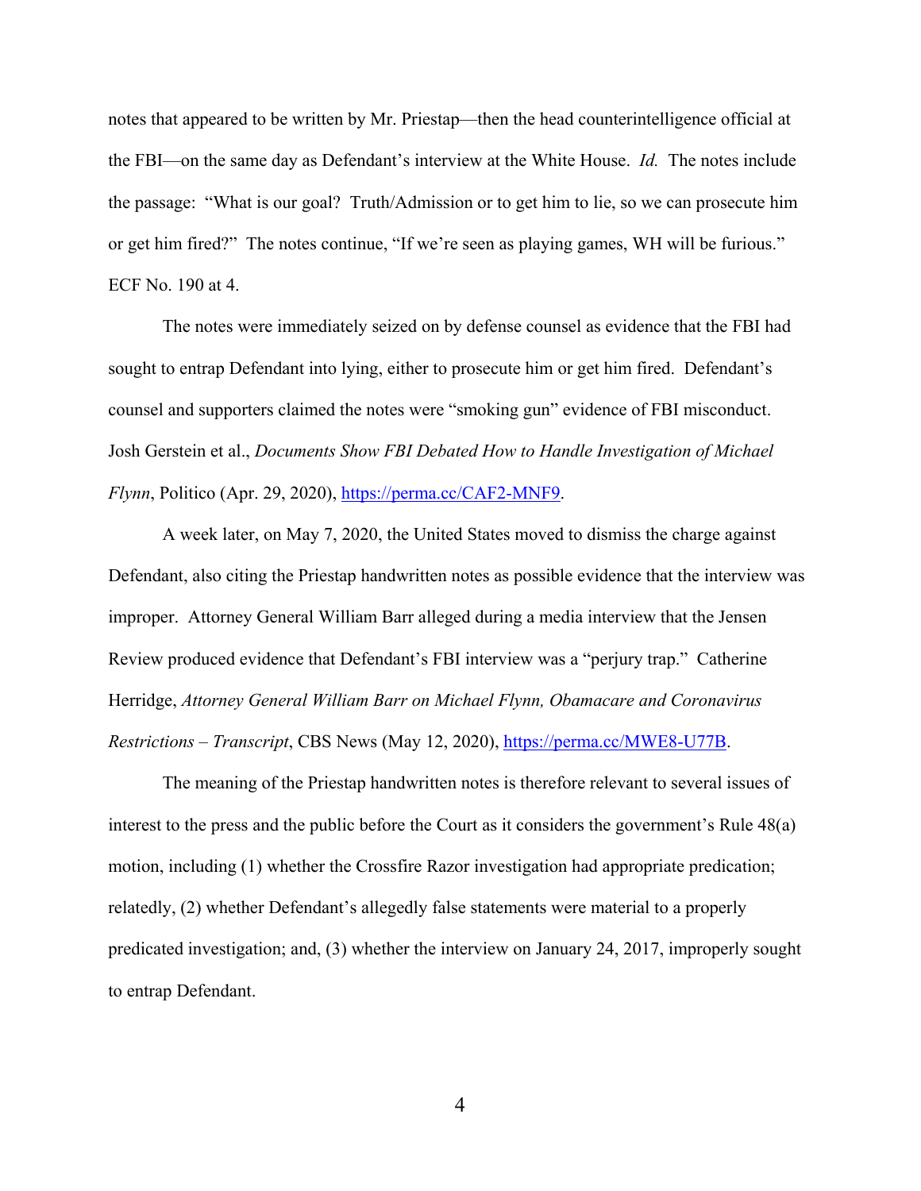notes that appeared to be written by Mr. Priestap—then the head counterintelligence official at the FBI—on the same day as Defendant's interview at the White House. *Id.* The notes include the passage: "What is our goal? Truth/Admission or to get him to lie, so we can prosecute him or get him fired?" The notes continue, "If we're seen as playing games, WH will be furious." ECF No. 190 at 4.

The notes were immediately seized on by defense counsel as evidence that the FBI had sought to entrap Defendant into lying, either to prosecute him or get him fired. Defendant's counsel and supporters claimed the notes were "smoking gun" evidence of FBI misconduct. Josh Gerstein et al., *Documents Show FBI Debated How to Handle Investigation of Michael Flynn*, Politico (Apr. 29, 2020), [https://perma.cc/CAF2-MNF9.](https://perma.cc/CAF2-MNF9)

A week later, on May 7, 2020, the United States moved to dismiss the charge against Defendant, also citing the Priestap handwritten notes as possible evidence that the interview was improper. Attorney General William Barr alleged during a media interview that the Jensen Review produced evidence that Defendant's FBI interview was a "perjury trap." Catherine Herridge, *Attorney General William Barr on Michael Flynn, Obamacare and Coronavirus Restrictions – Transcript*, CBS News (May 12, 2020), [https://perma.cc/MWE8-U77B.](https://perma.cc/MWE8-U77B)

The meaning of the Priestap handwritten notes is therefore relevant to several issues of interest to the press and the public before the Court as it considers the government's Rule 48(a) motion, including (1) whether the Crossfire Razor investigation had appropriate predication; relatedly, (2) whether Defendant's allegedly false statements were material to a properly predicated investigation; and, (3) whether the interview on January 24, 2017, improperly sought to entrap Defendant.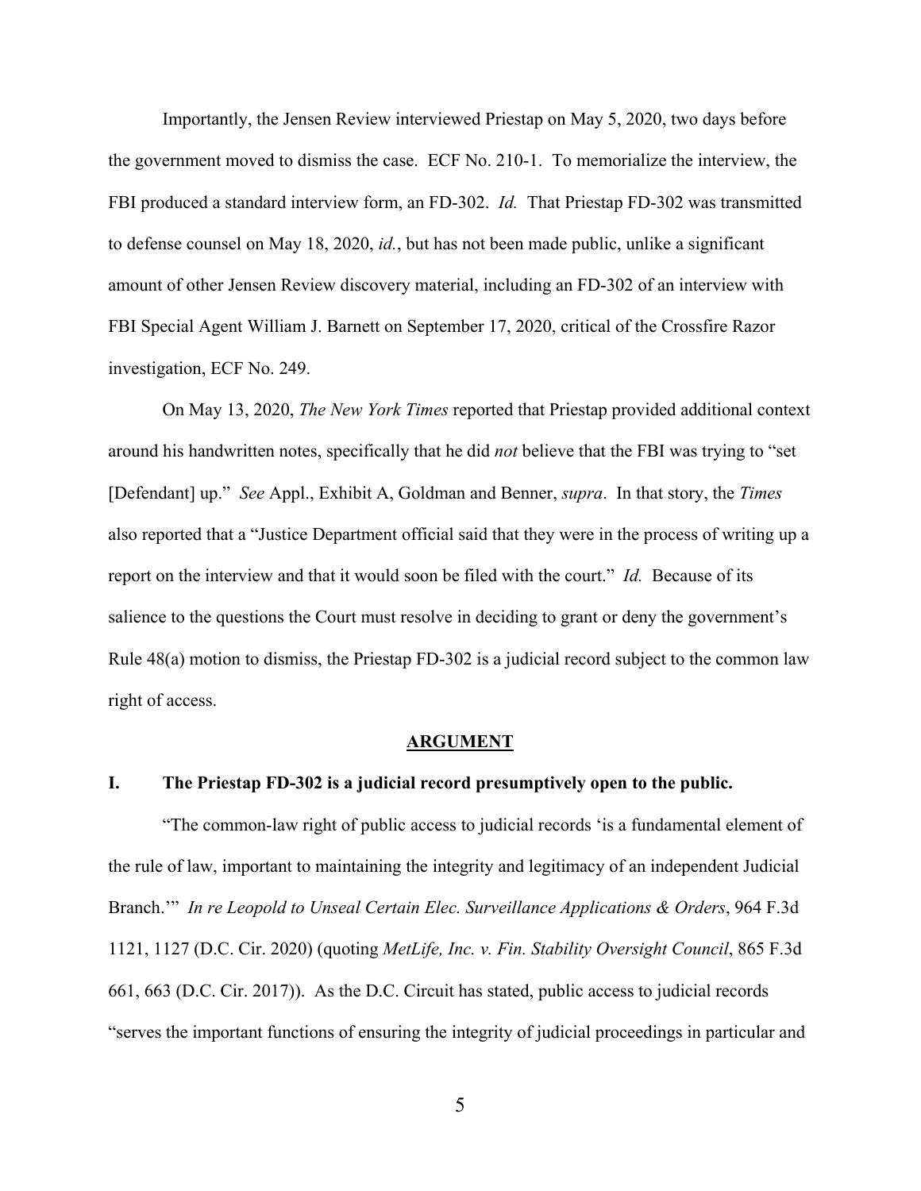Importantly, the Jensen Review interviewed Priestap on May 5, 2020, two days before the government moved to dismiss the case. ECF No. 210-1. To memorialize the interview, the FBI produced a standard interview form, an FD-302. *Id.* That Priestap FD-302 was transmitted to defense counsel on May 18, 2020, *id.*, but has not been made public, unlike a significant amount of other Jensen Review discovery material, including an FD-302 of an interview with FBI Special Agent William J. Barnett on September 17, 2020, critical of the Crossfire Razor investigation, ECF No. 249.

On May 13, 2020, *The New York Times* reported that Priestap provided additional context around his handwritten notes, specifically that he did *not* believe that the FBI was trying to "set [Defendant] up." *See* Appl., Exhibit A, Goldman and Benner, *supra*. In that story, the *Times*  also reported that a "Justice Department official said that they were in the process of writing up a report on the interview and that it would soon be filed with the court." *Id.* Because of its salience to the questions the Court must resolve in deciding to grant or deny the government's Rule 48(a) motion to dismiss, the Priestap FD-302 is a judicial record subject to the common law right of access.

#### **ARGUMENT**

### <span id="page-7-1"></span><span id="page-7-0"></span>**I. The Priestap FD-302 is a judicial record presumptively open to the public.**

"The common-law right of public access to judicial records 'is a fundamental element of the rule of law, important to maintaining the integrity and legitimacy of an independent Judicial Branch.'" *In re Leopold to Unseal Certain Elec. Surveillance Applications & Orders*, 964 F.3d 1121, 1127 (D.C. Cir. 2020) (quoting *MetLife, Inc. v. Fin. Stability Oversight Council*, 865 F.3d 661, 663 (D.C. Cir. 2017)). As the D.C. Circuit has stated, public access to judicial records "serves the important functions of ensuring the integrity of judicial proceedings in particular and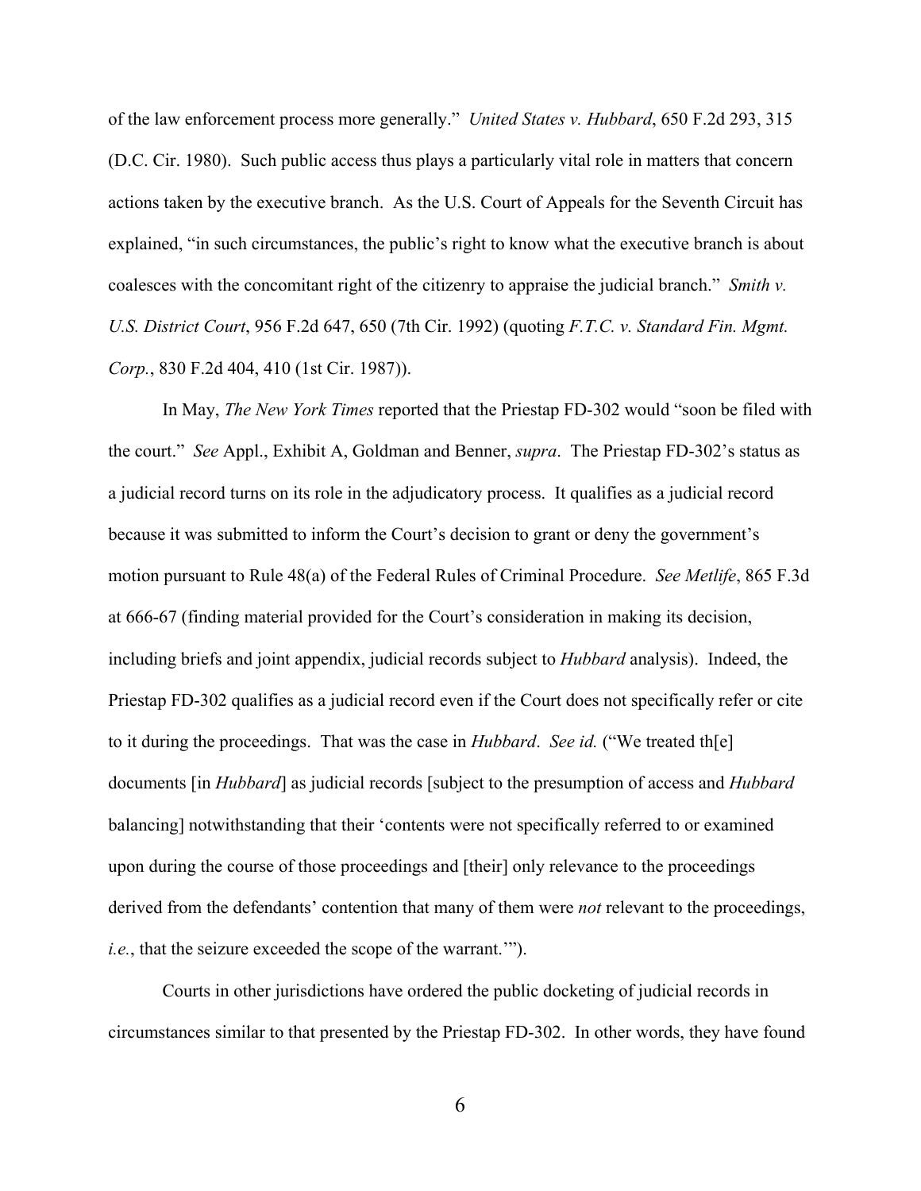of the law enforcement process more generally." *United States v. Hubbard*, 650 F.2d 293, 315 (D.C. Cir. 1980). Such public access thus plays a particularly vital role in matters that concern actions taken by the executive branch. As the U.S. Court of Appeals for the Seventh Circuit has explained, "in such circumstances, the public's right to know what the executive branch is about coalesces with the concomitant right of the citizenry to appraise the judicial branch." *Smith v. U.S. District Court*, 956 F.2d 647, 650 (7th Cir. 1992) (quoting *F.T.C. v. Standard Fin. Mgmt. Corp.*, 830 F.2d 404, 410 (1st Cir. 1987)).

In May, *The New York Times* reported that the Priestap FD-302 would "soon be filed with the court." *See* Appl., Exhibit A, Goldman and Benner, *supra*. The Priestap FD-302's status as a judicial record turns on its role in the adjudicatory process. It qualifies as a judicial record because it was submitted to inform the Court's decision to grant or deny the government's motion pursuant to Rule 48(a) of the Federal Rules of Criminal Procedure. *See Metlife*, 865 F.3d at 666-67 (finding material provided for the Court's consideration in making its decision, including briefs and joint appendix, judicial records subject to *Hubbard* analysis). Indeed, the Priestap FD-302 qualifies as a judicial record even if the Court does not specifically refer or cite to it during the proceedings. That was the case in *Hubbard*. *See id.* ("We treated th[e] documents [in *Hubbard*] as judicial records [subject to the presumption of access and *Hubbard* balancing] notwithstanding that their 'contents were not specifically referred to or examined upon during the course of those proceedings and [their] only relevance to the proceedings derived from the defendants' contention that many of them were *not* relevant to the proceedings, *i.e.*, that the seizure exceeded the scope of the warrant.'").

Courts in other jurisdictions have ordered the public docketing of judicial records in circumstances similar to that presented by the Priestap FD-302. In other words, they have found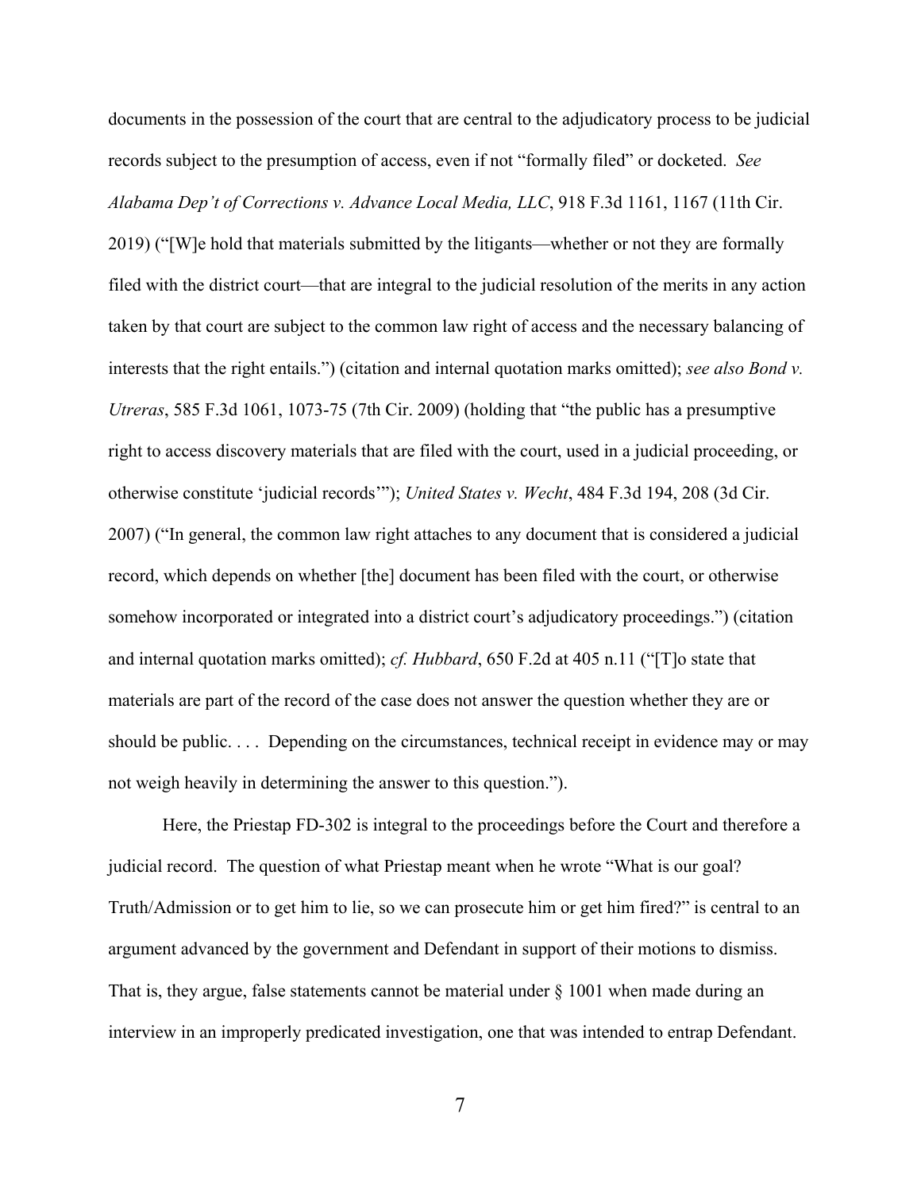documents in the possession of the court that are central to the adjudicatory process to be judicial records subject to the presumption of access, even if not "formally filed" or docketed. *See Alabama Dep't of Corrections v. Advance Local Media, LLC*, 918 F.3d 1161, 1167 (11th Cir.

2019) ("[W]e hold that materials submitted by the litigants—whether or not they are formally filed with the district court—that are integral to the judicial resolution of the merits in any action taken by that court are subject to the common law right of access and the necessary balancing of interests that the right entails.") (citation and internal quotation marks omitted); *see also Bond v. Utreras*, 585 F.3d 1061, 1073-75 (7th Cir. 2009) (holding that "the public has a presumptive right to access discovery materials that are filed with the court, used in a judicial proceeding, or otherwise constitute 'judicial records'"); *United States v. Wecht*, 484 F.3d 194, 208 (3d Cir. 2007) ("In general, the common law right attaches to any document that is considered a judicial record, which depends on whether [the] document has been filed with the court, or otherwise somehow incorporated or integrated into a district court's adjudicatory proceedings.") (citation and internal quotation marks omitted); *cf. Hubbard*, 650 F.2d at 405 n.11 ("[T]o state that materials are part of the record of the case does not answer the question whether they are or should be public. . . . Depending on the circumstances, technical receipt in evidence may or may not weigh heavily in determining the answer to this question.").

Here, the Priestap FD-302 is integral to the proceedings before the Court and therefore a judicial record. The question of what Priestap meant when he wrote "What is our goal? Truth/Admission or to get him to lie, so we can prosecute him or get him fired?" is central to an argument advanced by the government and Defendant in support of their motions to dismiss. That is, they argue, false statements cannot be material under  $\S$  1001 when made during an interview in an improperly predicated investigation, one that was intended to entrap Defendant.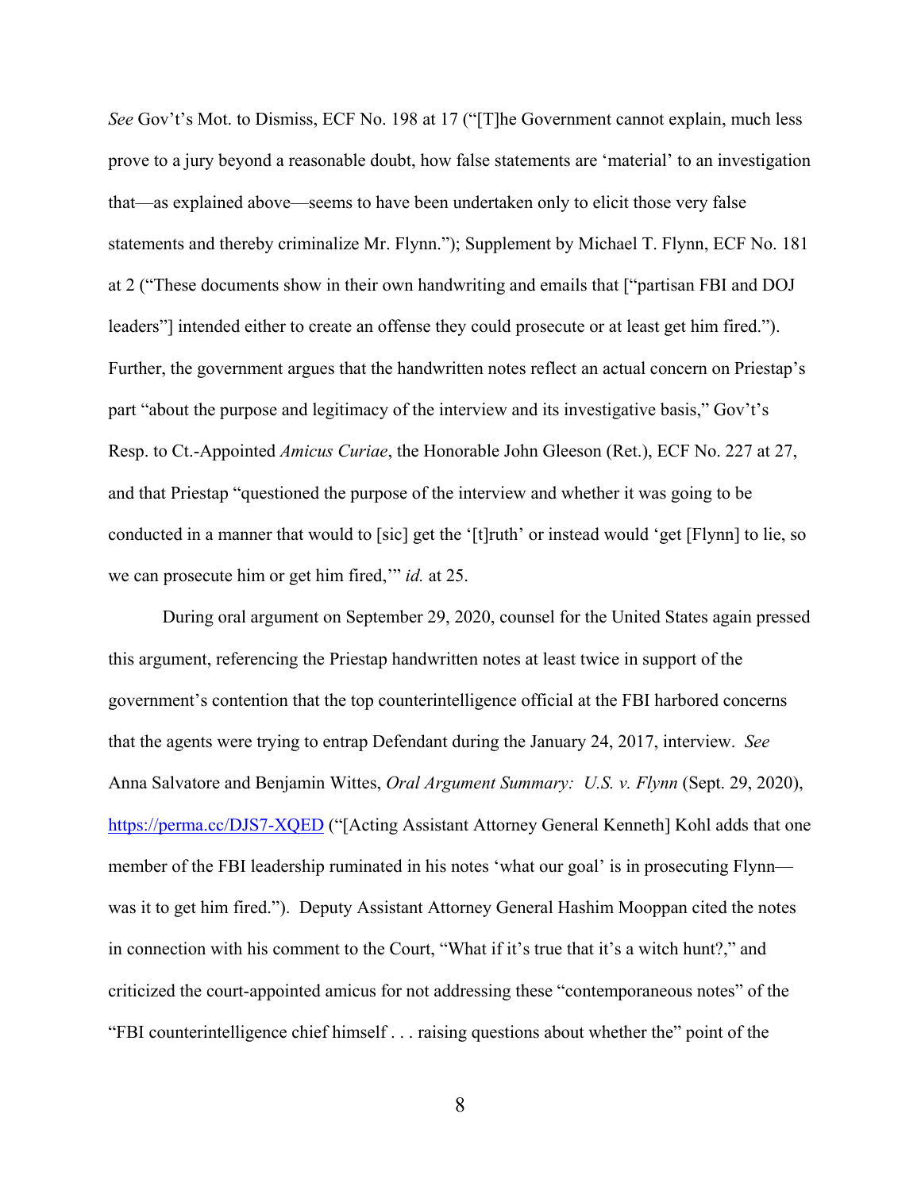*See* Gov't's Mot. to Dismiss, ECF No. 198 at 17 ("[T]he Government cannot explain, much less prove to a jury beyond a reasonable doubt, how false statements are 'material' to an investigation that—as explained above—seems to have been undertaken only to elicit those very false statements and thereby criminalize Mr. Flynn."); Supplement by Michael T. Flynn, ECF No. 181 at 2 ("These documents show in their own handwriting and emails that ["partisan FBI and DOJ leaders"] intended either to create an offense they could prosecute or at least get him fired."). Further, the government argues that the handwritten notes reflect an actual concern on Priestap's part "about the purpose and legitimacy of the interview and its investigative basis," Gov't's Resp. to Ct.-Appointed *Amicus Curiae*, the Honorable John Gleeson (Ret.), ECF No. 227 at 27, and that Priestap "questioned the purpose of the interview and whether it was going to be conducted in a manner that would to [sic] get the '[t]ruth' or instead would 'get [Flynn] to lie, so we can prosecute him or get him fired,'" *id.* at 25.

During oral argument on September 29, 2020, counsel for the United States again pressed this argument, referencing the Priestap handwritten notes at least twice in support of the government's contention that the top counterintelligence official at the FBI harbored concerns that the agents were trying to entrap Defendant during the January 24, 2017, interview. *See*  Anna Salvatore and Benjamin Wittes, *Oral Argument Summary: U.S. v. Flynn* (Sept. 29, 2020), <https://perma.cc/DJS7-XQED> ("[Acting Assistant Attorney General Kenneth] Kohl adds that one member of the FBI leadership ruminated in his notes 'what our goal' is in prosecuting Flynn was it to get him fired."). Deputy Assistant Attorney General Hashim Mooppan cited the notes in connection with his comment to the Court, "What if it's true that it's a witch hunt?," and criticized the court-appointed amicus for not addressing these "contemporaneous notes" of the "FBI counterintelligence chief himself . . . raising questions about whether the" point of the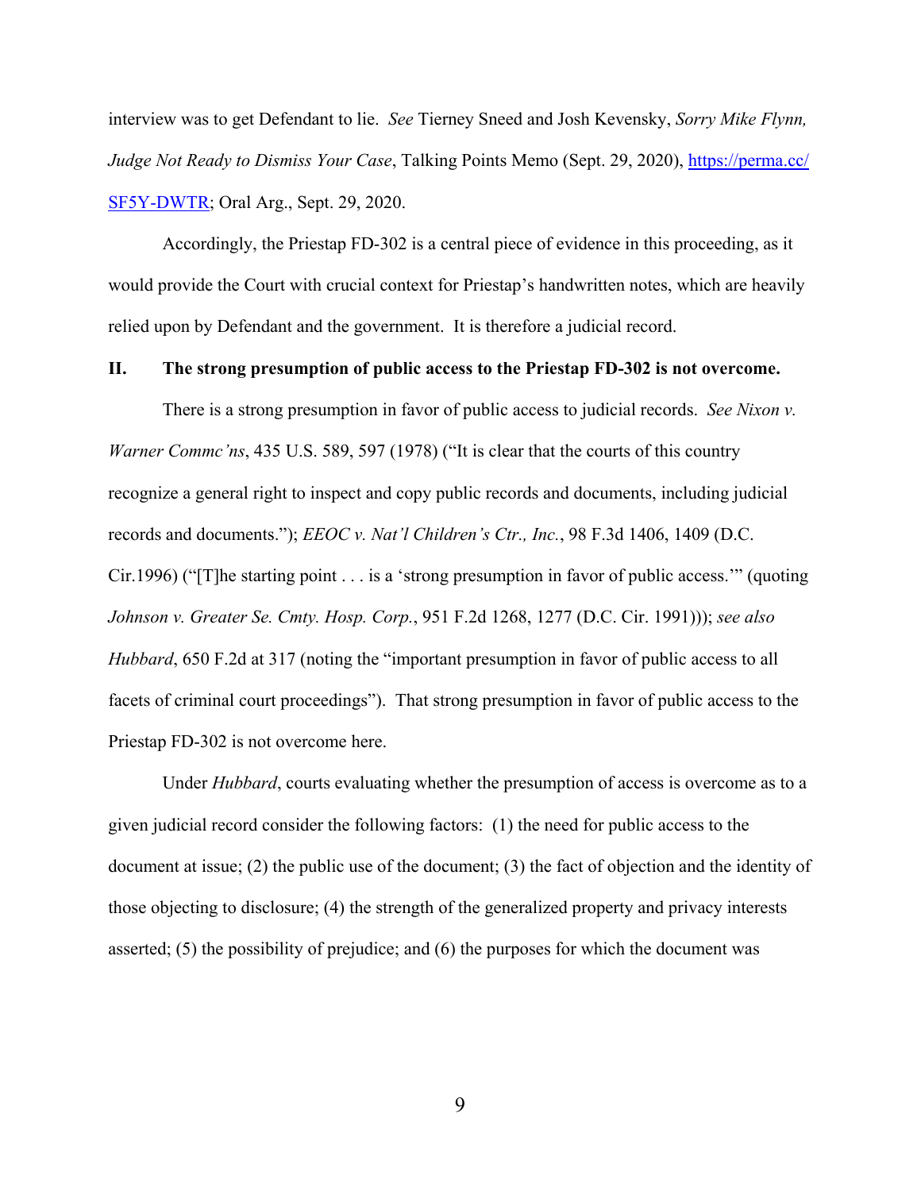interview was to get Defendant to lie. *See* Tierney Sneed and Josh Kevensky, *Sorry Mike Flynn, Judge Not Ready to Dismiss Your Case*, Talking Points Memo (Sept. 29, 2020), [https://perma.cc/](https://perma.cc/SF5Y-DWTR) [SF5Y-DWTR;](https://perma.cc/SF5Y-DWTR) Oral Arg., Sept. 29, 2020.

Accordingly, the Priestap FD-302 is a central piece of evidence in this proceeding, as it would provide the Court with crucial context for Priestap's handwritten notes, which are heavily relied upon by Defendant and the government. It is therefore a judicial record.

### <span id="page-11-0"></span>**II. The strong presumption of public access to the Priestap FD-302 is not overcome.**

There is a strong presumption in favor of public access to judicial records. *See Nixon v. Warner Commc'ns*, 435 U.S. 589, 597 (1978) ("It is clear that the courts of this country recognize a general right to inspect and copy public records and documents, including judicial records and documents."); *EEOC v. Nat'l Children's Ctr., Inc.*, 98 F.3d 1406, 1409 (D.C. Cir.1996) ("[T]he starting point . . . is a 'strong presumption in favor of public access.'" (quoting *Johnson v. Greater Se. Cmty. Hosp. Corp.*, 951 F.2d 1268, 1277 (D.C. Cir. 1991))); *see also Hubbard*, 650 F.2d at 317 (noting the "important presumption in favor of public access to all facets of criminal court proceedings"). That strong presumption in favor of public access to the Priestap FD-302 is not overcome here.

Under *Hubbard*, courts evaluating whether the presumption of access is overcome as to a given judicial record consider the following factors: (1) the need for public access to the document at issue; (2) the public use of the document; (3) the fact of objection and the identity of those objecting to disclosure; (4) the strength of the generalized property and privacy interests asserted; (5) the possibility of prejudice; and (6) the purposes for which the document was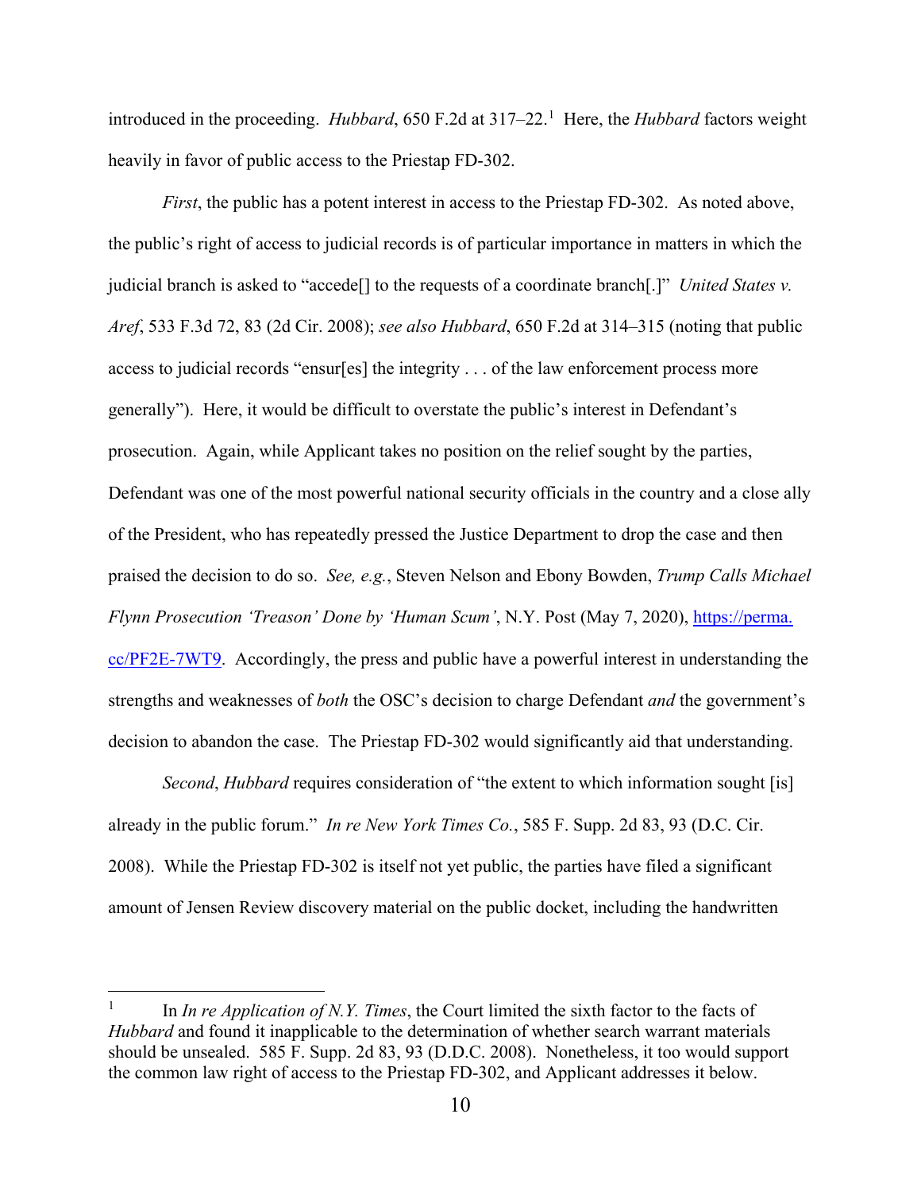introduced in the proceeding. *Hubbard*, 650 F.2d at 3[1](#page-12-0)7–22.<sup>1</sup> Here, the *Hubbard* factors weight heavily in favor of public access to the Priestap FD-302.

*First*, the public has a potent interest in access to the Priestap FD-302. As noted above, the public's right of access to judicial records is of particular importance in matters in which the judicial branch is asked to "accede[] to the requests of a coordinate branch[.]" *United States v. Aref*, 533 F.3d 72, 83 (2d Cir. 2008); *see also Hubbard*, 650 F.2d at 314–315 (noting that public access to judicial records "ensur[es] the integrity . . . of the law enforcement process more generally"). Here, it would be difficult to overstate the public's interest in Defendant's prosecution. Again, while Applicant takes no position on the relief sought by the parties, Defendant was one of the most powerful national security officials in the country and a close ally of the President, who has repeatedly pressed the Justice Department to drop the case and then praised the decision to do so. *See, e.g.*, Steven Nelson and Ebony Bowden, *Trump Calls Michael Flynn Prosecution 'Treason' Done by 'Human Scum'*, N.Y. Post (May 7, 2020), *https://perma.* [cc/PF2E-7WT9.](https://perma.cc/PF2E-7WT9) Accordingly, the press and public have a powerful interest in understanding the strengths and weaknesses of *both* the OSC's decision to charge Defendant *and* the government's decision to abandon the case. The Priestap FD-302 would significantly aid that understanding.

*Second*, *Hubbard* requires consideration of "the extent to which information sought [is] already in the public forum." *In re New York Times Co.*, 585 F. Supp. 2d 83, 93 (D.C. Cir. 2008). While the Priestap FD-302 is itself not yet public, the parties have filed a significant amount of Jensen Review discovery material on the public docket, including the handwritten

 $\overline{a}$ 

<span id="page-12-0"></span><sup>1</sup> In *In re Application of N.Y. Times*, the Court limited the sixth factor to the facts of *Hubbard* and found it inapplicable to the determination of whether search warrant materials should be unsealed. 585 F. Supp. 2d 83, 93 (D.D.C. 2008). Nonetheless, it too would support the common law right of access to the Priestap FD-302, and Applicant addresses it below.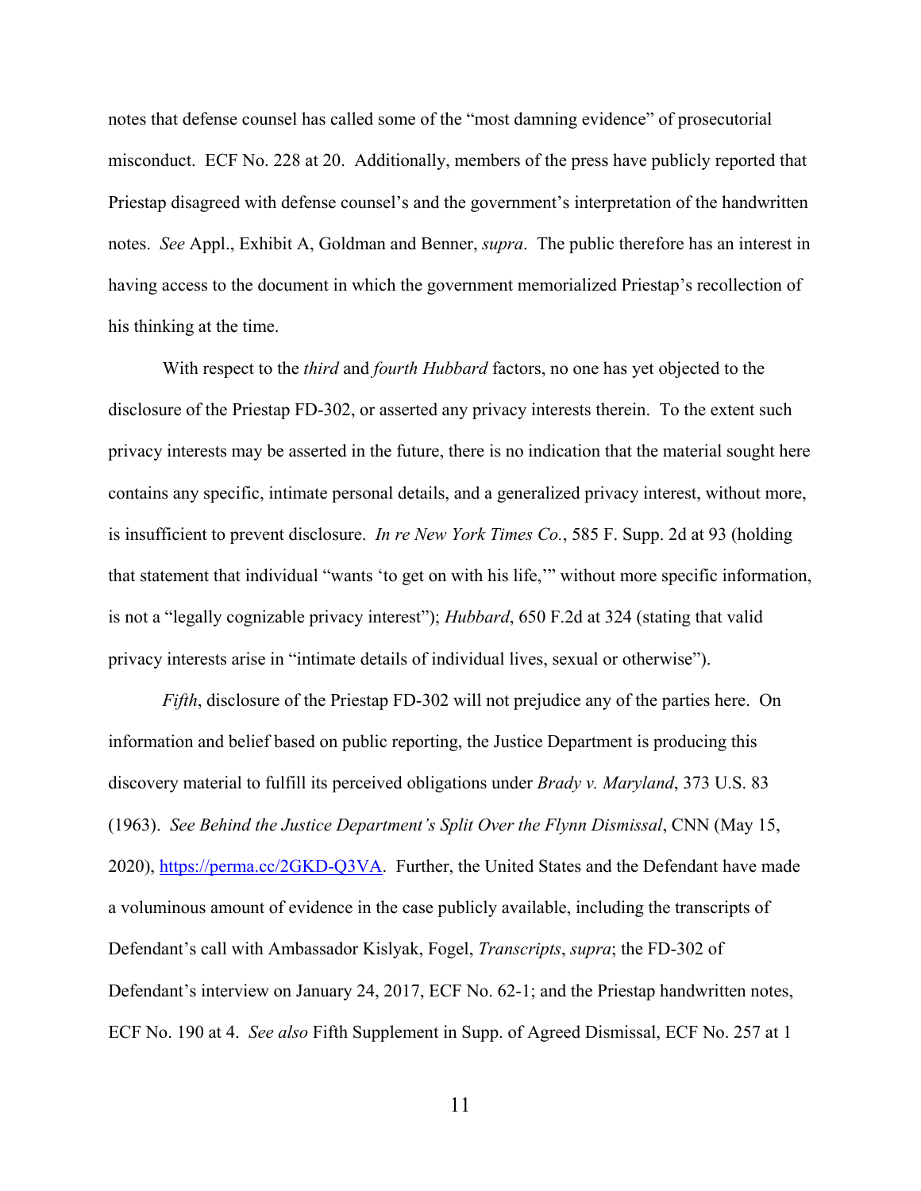notes that defense counsel has called some of the "most damning evidence" of prosecutorial misconduct. ECF No. 228 at 20. Additionally, members of the press have publicly reported that Priestap disagreed with defense counsel's and the government's interpretation of the handwritten notes. *See* Appl., Exhibit A, Goldman and Benner, *supra*. The public therefore has an interest in having access to the document in which the government memorialized Priestap's recollection of his thinking at the time.

With respect to the *third* and *fourth Hubbard* factors, no one has yet objected to the disclosure of the Priestap FD-302, or asserted any privacy interests therein. To the extent such privacy interests may be asserted in the future, there is no indication that the material sought here contains any specific, intimate personal details, and a generalized privacy interest, without more, is insufficient to prevent disclosure. *In re New York Times Co.*, 585 F. Supp. 2d at 93 (holding that statement that individual "wants 'to get on with his life,'" without more specific information, is not a "legally cognizable privacy interest"); *Hubbard*, 650 F.2d at 324 (stating that valid privacy interests arise in "intimate details of individual lives, sexual or otherwise").

*Fifth*, disclosure of the Priestap FD-302 will not prejudice any of the parties here. On information and belief based on public reporting, the Justice Department is producing this discovery material to fulfill its perceived obligations under *Brady v. Maryland*, 373 U.S. 83 (1963). *See Behind the Justice Department's Split Over the Flynn Dismissal*, CNN (May 15, 2020), [https://perma.cc/2GKD-Q3VA.](https://perma.cc/2GKD-Q3VA) Further, the United States and the Defendant have made a voluminous amount of evidence in the case publicly available, including the transcripts of Defendant's call with Ambassador Kislyak, Fogel, *Transcripts*, *supra*; the FD-302 of Defendant's interview on January 24, 2017, ECF No. 62-1; and the Priestap handwritten notes, ECF No. 190 at 4. *See also* Fifth Supplement in Supp. of Agreed Dismissal, ECF No. 257 at 1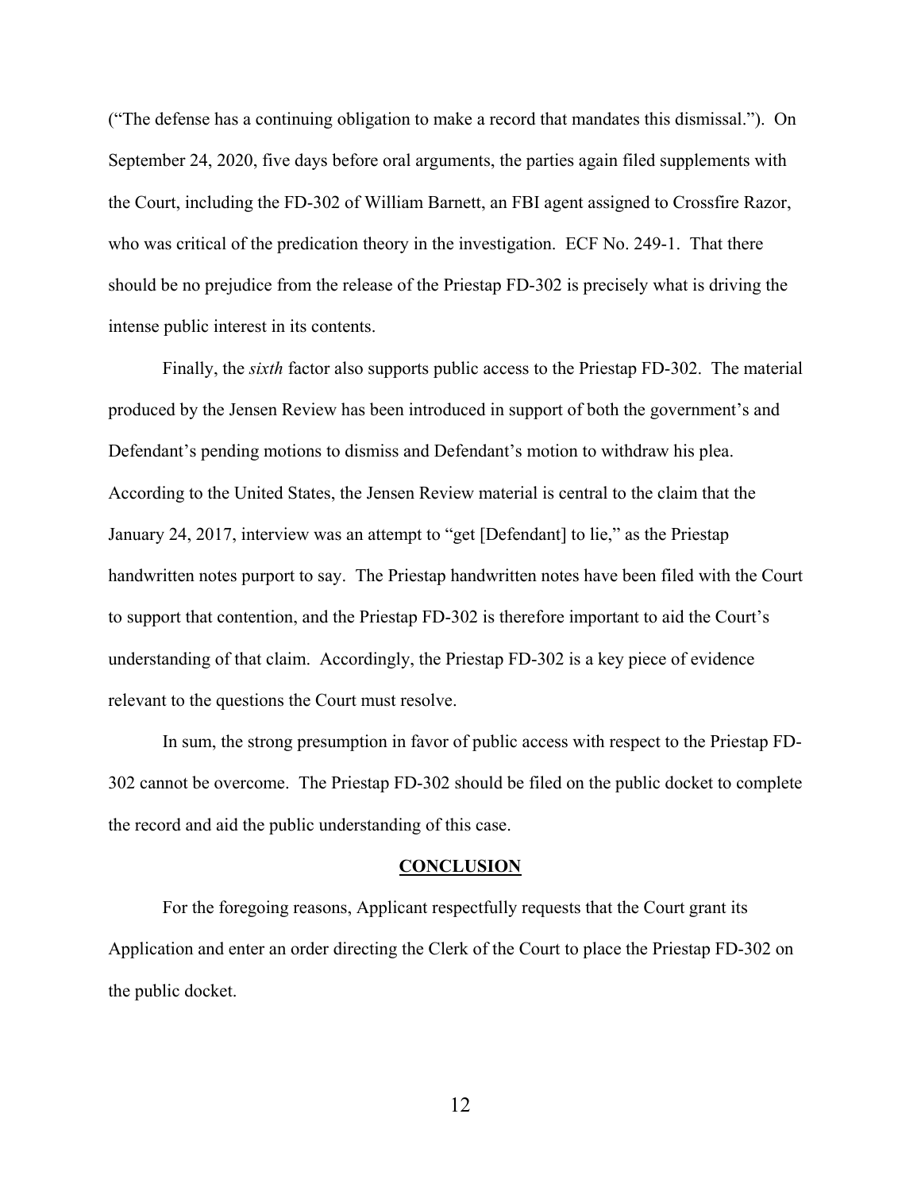("The defense has a continuing obligation to make a record that mandates this dismissal."). On September 24, 2020, five days before oral arguments, the parties again filed supplements with the Court, including the FD-302 of William Barnett, an FBI agent assigned to Crossfire Razor, who was critical of the predication theory in the investigation. ECF No. 249-1. That there should be no prejudice from the release of the Priestap FD-302 is precisely what is driving the intense public interest in its contents.

Finally, the *sixth* factor also supports public access to the Priestap FD-302. The material produced by the Jensen Review has been introduced in support of both the government's and Defendant's pending motions to dismiss and Defendant's motion to withdraw his plea. According to the United States, the Jensen Review material is central to the claim that the January 24, 2017, interview was an attempt to "get [Defendant] to lie," as the Priestap handwritten notes purport to say. The Priestap handwritten notes have been filed with the Court to support that contention, and the Priestap FD-302 is therefore important to aid the Court's understanding of that claim. Accordingly, the Priestap FD-302 is a key piece of evidence relevant to the questions the Court must resolve.

In sum, the strong presumption in favor of public access with respect to the Priestap FD-302 cannot be overcome. The Priestap FD-302 should be filed on the public docket to complete the record and aid the public understanding of this case.

#### **CONCLUSION**

<span id="page-14-0"></span>For the foregoing reasons, Applicant respectfully requests that the Court grant its Application and enter an order directing the Clerk of the Court to place the Priestap FD-302 on the public docket.